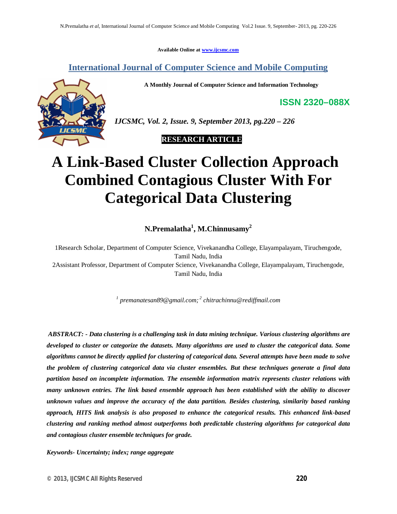**Available Online at www.ijcsmc.com**

# **International Journal of Computer Science and Mobile Computing**

**A Monthly Journal of Computer Science and Information Technology**

**ISSN 2320–088X**



*IJCSMC, Vol. 2, Issue. 9, September 2013, pg.220 – 226*

 **RESEARCH ARTICLE**

# **A Link-Based Cluster Collection Approach Combined Contagious Cluster With For Categorical Data Clustering**

**N.Premalatha<sup>1</sup> , M.Chinnusamy<sup>2</sup>**

1Research Scholar, Department of Computer Science, Vivekanandha College, Elayampalayam, Tiruchengode, Tamil Nadu, India

2Assistant Professor, Department of Computer Science, Vivekanandha College, Elayampalayam, Tiruchengode, Tamil Nadu, India

*1 premanatesan89@gmail.com; 2 chitrachinnu@rediffmail.com*

*ABSTRACT: - Data clustering is a challenging task in data mining technique. Various clustering algorithms are developed to cluster or categorize the datasets. Many algorithms are used to cluster the categorical data. Some algorithms cannot be directly applied for clustering of categorical data. Several attempts have been made to solve the problem of clustering categorical data via cluster ensembles. But these techniques generate a final data partition based on incomplete information. The ensemble information matrix represents cluster relations with many unknown entries. The link based ensemble approach has been established with the ability to discover unknown values and improve the accuracy of the data partition. Besides clustering, similarity based ranking approach, HITS link analysis is also proposed to enhance the categorical results. This enhanced link-based clustering and ranking method almost outperforms both predictable clustering algorithms for categorical data and contagious cluster ensemble techniques for grade.*

*Keywords- Uncertainty; index; range aggregate*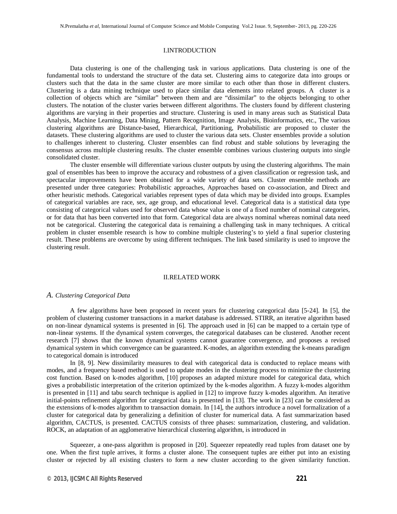# I.INTRODUCTION

Data clustering is one of the challenging task in various applications. Data clustering is one of the fundamental tools to understand the structure of the data set. Clustering aims to categorize data into groups or clusters such that the data in the same cluster are more similar to each other than those in different clusters. Clustering is a data mining technique used to place similar data elements into related groups. A cluster is a collection of objects which are "similar" between them and are "dissimilar" to the objects belonging to other clusters. The notation of the cluster varies between different algorithms. The clusters found by different clustering algorithms are varying in their properties and structure. Clustering is used in many areas such as Statistical Data Analysis, Machine Learning, Data Mining, Pattern Recognition, Image Analysis, Bioinformatics, etc., The various clustering algorithms are Distance-based, Hierarchical, Partitioning, Probabilistic are proposed to cluster the datasets. These clustering algorithms are used to cluster the various data sets. Cluster ensembles provide a solution to challenges inherent to clustering. Cluster ensembles can find robust and stable solutions by leveraging the consensus across multiple clustering results. The cluster ensemble combines various clustering outputs into single consolidated cluster.

The cluster ensemble will differentiate various cluster outputs by using the clustering algorithms. The main goal of ensembles has been to improve the accuracy and robustness of a given classification or regression task, and spectacular improvements have been obtained for a wide variety of data sets. Cluster ensemble methods are presented under three categories: Probabilistic approaches, Approaches based on co-association, and Direct and other heuristic methods. Categorical variables represent types of data which may be divided into groups. Examples of categorical variables are race, sex, age group, and educational level. Categorical data is a statistical data type consisting of categorical values used for observed data whose value is one of a fixed number of nominal categories, or for data that has been converted into that form. Categorical data are always nominal whereas nominal data need not be categorical. Clustering the categorical data is remaining a challenging task in many techniques. A critical problem in cluster ensemble research is how to combine multiple clustering's to yield a final superior clustering result. These problems are overcome by using different techniques. The link based similarity is used to improve the clustering result.

# II.RELATED WORK

# *A. Clustering Categorical Data*

A few algorithms have been proposed in recent years for clustering categorical data [5-24]. In [5], the problem of clustering customer transactions in a market database is addressed. STIRR, an iterative algorithm based on non-linear dynamical systems is presented in [6]. The approach used in [6] can be mapped to a certain type of non-linear systems. If the dynamical system converges, the categorical databases can be clustered. Another recent research [7] shows that the known dynamical systems cannot guarantee convergence, and proposes a revised dynamical system in which convergence can be guaranteed. K-modes, an algorithm extending the k-means paradigm to categorical domain is introduced

In [8, 9]. New dissimilarity measures to deal with categorical data is conducted to replace means with modes, and a frequency based method is used to update modes in the clustering process to minimize the clustering cost function. Based on k-modes algorithm, [10] proposes an adapted mixture model for categorical data, which gives a probabilistic interpretation of the criterion optimized by the k-modes algorithm. A fuzzy k-modes algorithm is presented in [11] and tabu search technique is applied in [12] to improve fuzzy k-modes algorithm. An iterative initial-points refinement algorithm for categorical data is presented in [13]. The work in [23] can be considered as the extensions of k-modes algorithm to transaction domain. In [14], the authors introduce a novel formalization of a cluster for categorical data by generalizing a definition of cluster for numerical data. A fast summarization based algorithm, CACTUS, is presented. CACTUS consists of three phases: summarization, clustering, and validation. ROCK, an adaptation of an agglomerative hierarchical clustering algorithm, is introduced in

Squeezer, a one-pass algorithm is proposed in [20]. Squeezer repeatedly read tuples from dataset one by one. When the first tuple arrives, it forms a cluster alone. The consequent tuples are either put into an existing cluster or rejected by all existing clusters to form a new cluster according to the given similarity function.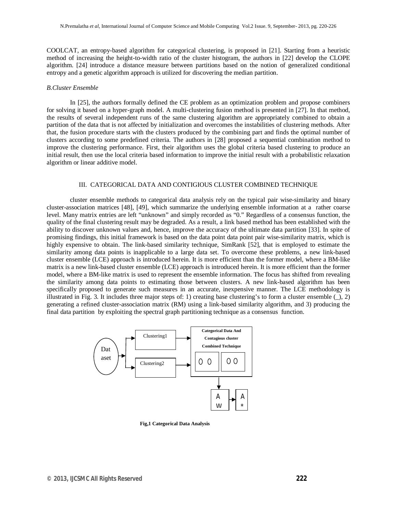COOLCAT, an entropy-based algorithm for categorical clustering, is proposed in [21]. Starting from a heuristic method of increasing the height-to-width ratio of the cluster histogram, the authors in [22] develop the CLOPE algorithm. [24] introduce a distance measure between partitions based on the notion of generalized conditional entropy and a genetic algorithm approach is utilized for discovering the median partition.

#### *B.Cluster Ensemble*

In [25], the authors formally defined the CE problem as an optimization problem and propose combiners for solving it based on a hyper-graph model. A multi-clustering fusion method is presented in [27]. In that method, the results of several independent runs of the same clustering algorithm are appropriately combined to obtain a partition of the data that is not affected by initialization and overcomes the instabilities of clustering methods. After that, the fusion procedure starts with the clusters produced by the combining part and finds the optimal number of clusters according to some predefined criteria. The authors in [28] proposed a sequential combination method to improve the clustering performance. First, their algorithm uses the global criteria based clustering to produce an initial result, then use the local criteria based information to improve the initial result with a probabilistic relaxation algorithm or linear additive model.

#### III. CATEGORICAL DATA AND CONTIGIOUS CLUSTER COMBINED TECHNIQUE

cluster ensemble methods to categorical data analysis rely on the typical pair wise-similarity and binary cluster-association matrices [48], [49], which summarize the underlying ensemble information at a rather coarse level. Many matrix entries are left "unknown" and simply recorded as "0." Regardless of a consensus function, the quality of the final clustering result may be degraded. As a result, a link based method has been established with the ability to discover unknown values and, hence, improve the accuracy of the ultimate data partition [33]. In spite of promising findings, this initial framework is based on the data point data point pair wise-similarity matrix, which is highly expensive to obtain. The link-based similarity technique, SimRank [52], that is employed to estimate the similarity among data points is inapplicable to a large data set. To overcome these problems, a new link-based cluster ensemble (LCE) approach is introduced herein. It is more efficient than the former model, where a BM-like matrix is a new link-based cluster ensemble (LCE) approach is introduced herein. It is more efficient than the former model, where a BM-like matrix is used to represent the ensemble information. The focus has shifted from revealing the similarity among data points to estimating those between clusters. A new link-based algorithm has been specifically proposed to generate such measures in an accurate, inexpensive manner. The LCE methodology is illustrated in Fig. 3. It includes three major steps of: 1) creating base clustering's to form a cluster ensemble  $($ generating a refined cluster-association matrix (RM) using a link-based similarity algorithm, and 3) producing the final data partition by exploiting the spectral graph partitioning technique as a consensus function.



**Fig,1 Categorical Data Analysis**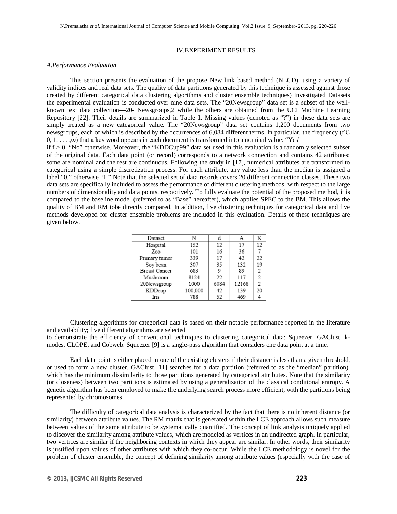# IV.EXPERIMENT RESULTS

# *A.Performance Evaluation*

This section presents the evaluation of the propose New link based method (NLCD), using a variety of validity indices and real data sets. The quality of data partitions generated by this technique is assessed against those created by different categorical data clustering algorithms and cluster ensemble techniques) Investigated Datasets the experimental evaluation is conducted over nine data sets. The "20Newsgroup" data set is a subset of the wellknown text data collection—20- Newsgroups,2 while the others are obtained from the UCI Machine Learning Repository [22]. Their details are summarized in Table 1. Missing values (denoted as "?") in these data sets are simply treated as a new categorical value. The "20Newsgroup" data set contains 1,200 documents from two newsgroups, each of which is described by the occurrences of 6,084 different terms. In particular, the frequency ( $f \in \mathbb{C}$  $0, 1, \ldots, \infty$ ) that a key word appears in each document is transformed into a nominal value: "Yes" if  $f > 0$ , "No" otherwise. Moreover, the "KDDCup99" data set used in this evaluation is a randomly selected subset of the original data. Each data point (or record) corresponds to a network connection and contains 42 attributes: some are nominal and the rest are continuous. Following the study in [17], numerical attributes are transformed to categorical using a simple discretization process. For each attribute, any value less than the median is assigned a label "0," otherwise "1." Note that the selected set of data records covers 20 different connection classes. These two data sets are specifically included to assess the performance of different clustering methods, with respect to the large numbers of dimensionality and data points, respectively. To fully evaluate the potential of the proposed method, it is compared to the baseline model (referred to as "Base" hereafter), which applies SPEC to the BM. This allows the quality of BM and RM tobe directly compared. In addition, five clustering techniques for categorical data and five methods developed for cluster ensemble problems are included in this evaluation. Details of these techniques are given below.

| Dataset              | N       |      | А     | K  |
|----------------------|---------|------|-------|----|
| Hospital             | 152     | 12   | 17    | 12 |
| Zoo                  | 101     | 16   | 36    |    |
| Primary tumor        | 339     | 17   | 42    | 22 |
| Soy bean             | 307     | 35   | 132   | 19 |
| <b>Breast Cancer</b> | 683     | 9    | 89    | 2  |
| Mushroom             | 8124    | 22   | 117   | 2  |
| 20Newsgroup          | 1000    | 6084 | 12168 | 2  |
| KDDcup               | 100,000 | 42   | 139   | 20 |
| Iris                 | 788     | 52   | 469   |    |

Clustering algorithms for categorical data is based on their notable performance reported in the literature and availability; five different algorithms are selected

to demonstrate the efficiency of conventional techniques to clustering categorical data: Squeezer, GAClust, kmodes, CLOPE, and Cobweb. Squeezer [9] is a single-pass algorithm that considers one data point at a time.

Each data point is either placed in one of the existing clusters if their distance is less than a given threshold, or used to form a new cluster. GAClust [11] searches for a data partition (referred to as the "median" partition), which has the minimum dissimilarity to those partitions generated by categorical attributes. Note that the similarity (or closeness) between two partitions is estimated by using a generalization of the classical conditional entropy. A genetic algorithm has been employed to make the underlying search process more efficient, with the partitions being represented by chromosomes.

The difficulty of categorical data analysis is characterized by the fact that there is no inherent distance (or similarity) between attribute values. The RM matrix that is generated within the LCE approach allows such measure between values of the same attribute to be systematically quantified. The concept of link analysis uniquely applied to discover the similarity among attribute values, which are modeled as vertices in an undirected graph. In particular, two vertices are similar if the neighboring contexts in which they appear are similar. In other words, their similarity is justified upon values of other attributes with which they co-occur. While the LCE methodology is novel for the problem of cluster ensemble, the concept of defining similarity among attribute values (especially with the case of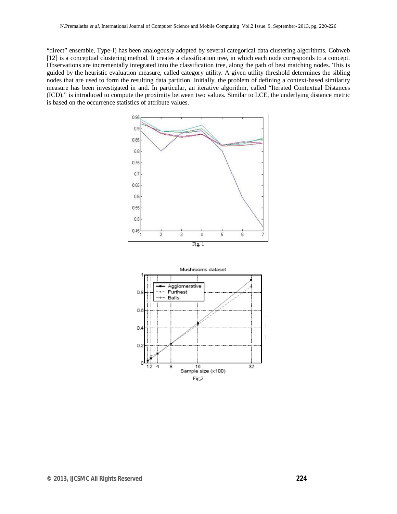"direct" ensemble, Type-I) has been analogously adopted by several categorical data clustering algorithms. Cobweb [12] is a conceptual clustering method. It creates a classification tree, in which each node corresponds to a concept. Observations are incrementally integrated into the classification tree, along the path of best matching nodes. This is guided by the heuristic evaluation measure, called category utility. A given utility threshold determines the sibling nodes that are used to form the resulting data partition. Initially, the problem of defining a context-based similarity measure has been investigated in and. In particular, an iterative algorithm, called "Iterated Contextual Distances (ICD)," is introduced to compute the proximity between two values. Similar to LCE, the underlying distance metric is based on the occurrence statistics of attribute values.



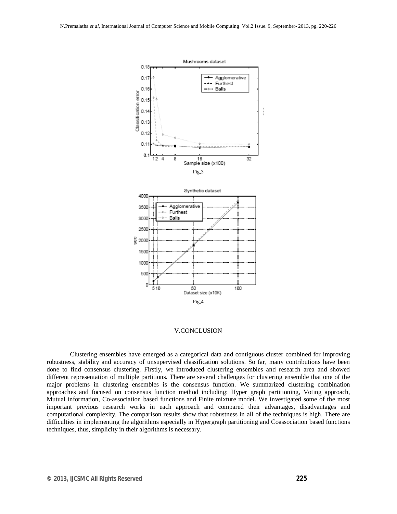

# V.CONCLUSION

Clustering ensembles have emerged as a categorical data and contiguous cluster combined for improving robustness, stability and accuracy of unsupervised classification solutions. So far, many contributions have been done to find consensus clustering. Firstly, we introduced clustering ensembles and research area and showed different representation of multiple partitions. There are several challenges for clustering ensemble that one of the major problems in clustering ensembles is the consensus function. We summarized clustering combination approaches and focused on consensus function method including: Hyper graph partitioning, Voting approach, Mutual information, Co-association based functions and Finite mixture model. We investigated some of the most important previous research works in each approach and compared their advantages, disadvantages and computational complexity. The comparison results show that robustness in all of the techniques is high. There are difficulties in implementing the algorithms especially in Hypergraph partitioning and Coassociation based functions techniques, thus, simplicity in their algorithms is necessary.